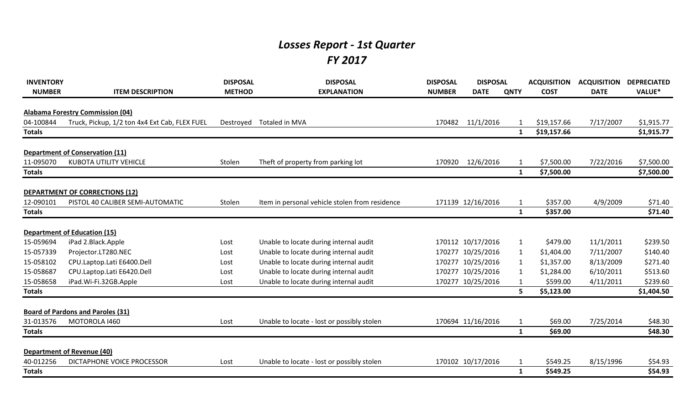## *Losses Report - 1st Quarter FY 2017*

| <b>INVENTORY</b> |                                               | <b>DISPOSAL</b> | <b>DISPOSAL</b>                                | <b>DISPOSAL</b> | <b>DISPOSAL</b>   |              | <b>ACQUISITION</b> | <b>ACQUISITION</b> | <b>DEPRECIATED</b> |
|------------------|-----------------------------------------------|-----------------|------------------------------------------------|-----------------|-------------------|--------------|--------------------|--------------------|--------------------|
| <b>NUMBER</b>    | <b>ITEM DESCRIPTION</b>                       | <b>METHOD</b>   | <b>EXPLANATION</b>                             | <b>NUMBER</b>   | <b>DATE</b>       | <b>QNTY</b>  | <b>COST</b>        | <b>DATE</b>        | VALUE*             |
|                  | <b>Alabama Forestry Commission (04)</b>       |                 |                                                |                 |                   |              |                    |                    |                    |
| 04-100844        | Truck, Pickup, 1/2 ton 4x4 Ext Cab, FLEX FUEL | Destroyed       | Totaled in MVA                                 | 170482          | 11/1/2016         |              | \$19,157.66        | 7/17/2007          | \$1,915.77         |
| <b>Totals</b>    |                                               |                 |                                                |                 |                   | 1            | \$19,157.66        |                    | \$1,915.77         |
|                  | <b>Department of Conservation (11)</b>        |                 |                                                |                 |                   |              |                    |                    |                    |
| 11-095070        | <b>KUBOTA UTILITY VEHICLE</b>                 | Stolen          | Theft of property from parking lot             | 170920          | 12/6/2016         |              | \$7,500.00         | 7/22/2016          | \$7,500.00         |
| <b>Totals</b>    |                                               |                 |                                                |                 |                   | 1            | \$7,500.00         |                    | \$7,500.00         |
|                  |                                               |                 |                                                |                 |                   |              |                    |                    |                    |
|                  | <b>DEPARTMENT OF CORRECTIONS (12)</b>         |                 |                                                |                 |                   |              |                    |                    |                    |
| 12-090101        | PISTOL 40 CALIBER SEMI-AUTOMATIC              | Stolen          | Item in personal vehicle stolen from residence |                 | 171139 12/16/2016 | 1            | \$357.00           | 4/9/2009           | \$71.40            |
| <b>Totals</b>    |                                               |                 |                                                |                 |                   | $\mathbf{1}$ | \$357.00           |                    | \$71.40            |
|                  |                                               |                 |                                                |                 |                   |              |                    |                    |                    |
|                  | <b>Department of Education (15)</b>           |                 |                                                |                 |                   |              |                    |                    |                    |
| 15-059694        | iPad 2.Black.Apple                            | Lost            | Unable to locate during internal audit         |                 | 170112 10/17/2016 | 1            | \$479.00           | 11/1/2011          | \$239.50           |
| 15-057339        | Projector.LT280.NEC                           | Lost            | Unable to locate during internal audit         |                 | 170277 10/25/2016 | 1            | \$1,404.00         | 7/11/2007          | \$140.40           |
| 15-058102        | CPU.Laptop.Lati E6400.Dell                    | Lost            | Unable to locate during internal audit         |                 | 170277 10/25/2016 |              | \$1,357.00         | 8/13/2009          | \$271.40           |
| 15-058687        | CPU.Laptop.Lati E6420.Dell                    | Lost            | Unable to locate during internal audit         |                 | 170277 10/25/2016 |              | \$1,284.00         | 6/10/2011          | \$513.60           |
| 15-058658        | iPad.Wi-Fi.32GB.Apple                         | Lost            | Unable to locate during internal audit         |                 | 170277 10/25/2016 |              | \$599.00           | 4/11/2011          | \$239.60           |
| <b>Totals</b>    |                                               |                 |                                                |                 |                   | 5.           | \$5,123.00         |                    | \$1,404.50         |
|                  | <b>Board of Pardons and Paroles (31)</b>      |                 |                                                |                 |                   |              |                    |                    |                    |
| 31-013576        | MOTOROLA 1460                                 | Lost            | Unable to locate - lost or possibly stolen     |                 | 170694 11/16/2016 | -1           | \$69.00            | 7/25/2014          | \$48.30            |
| <b>Totals</b>    |                                               |                 |                                                |                 |                   | $\mathbf{1}$ | \$69.00            |                    | \$48.30            |
|                  |                                               |                 |                                                |                 |                   |              |                    |                    |                    |
|                  | <b>Department of Revenue (40)</b>             |                 |                                                |                 |                   |              |                    |                    |                    |
| 40-012256        | DICTAPHONE VOICE PROCESSOR                    | Lost            | Unable to locate - lost or possibly stolen     |                 | 170102 10/17/2016 | $\mathbf 1$  | \$549.25           | 8/15/1996          | \$54.93            |
| <b>Totals</b>    |                                               |                 |                                                |                 |                   | 1            | \$549.25           |                    | \$54.93            |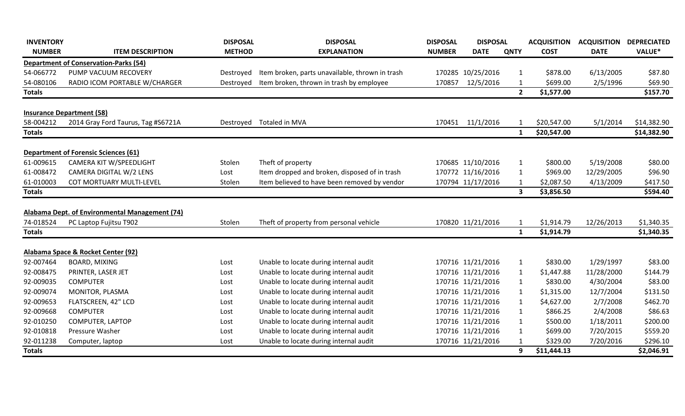| <b>INVENTORY</b> |                                                                        | <b>DISPOSAL</b> | <b>DISPOSAL</b>                                 | <b>DISPOSAL</b> | <b>DISPOSAL</b>   |                         | <b>ACQUISITION</b> | <b>ACQUISITION</b> | <b>DEPRECIATED</b> |
|------------------|------------------------------------------------------------------------|-----------------|-------------------------------------------------|-----------------|-------------------|-------------------------|--------------------|--------------------|--------------------|
| <b>NUMBER</b>    | <b>ITEM DESCRIPTION</b>                                                | <b>METHOD</b>   | <b>EXPLANATION</b>                              | <b>NUMBER</b>   | <b>DATE</b>       | <b>QNTY</b>             | <b>COST</b>        | <b>DATE</b>        | <b>VALUE*</b>      |
|                  | <b>Department of Conservation-Parks (54)</b>                           |                 |                                                 |                 |                   |                         |                    |                    |                    |
| 54-066772        | PUMP VACUUM RECOVERY                                                   | Destroyed       | Item broken, parts unavailable, thrown in trash |                 | 170285 10/25/2016 | 1                       | \$878.00           | 6/13/2005          | \$87.80            |
| 54-080106        | RADIO ICOM PORTABLE W/CHARGER                                          | Destroyed       | Item broken, thrown in trash by employee        | 170857          | 12/5/2016         | -1                      | \$699.00           | 2/5/1996           | \$69.90            |
| <b>Totals</b>    |                                                                        |                 |                                                 |                 |                   | $\overline{2}$          | \$1,577.00         |                    | \$157.70           |
|                  | <b>Insurance Department (58)</b>                                       |                 |                                                 |                 |                   |                         |                    |                    |                    |
| 58-004212        | 2014 Gray Ford Taurus, Tag #S6721A                                     | Destroyed       | Totaled in MVA                                  | 170451          | 11/1/2016         | -1                      | \$20,547.00        | 5/1/2014           | \$14,382.90        |
| <b>Totals</b>    |                                                                        |                 |                                                 |                 |                   | $\mathbf{1}$            | \$20,547.00        |                    | \$14,382.90        |
|                  |                                                                        |                 |                                                 |                 |                   |                         |                    |                    |                    |
| 61-009615        | <b>Department of Forensic Sciences (61)</b><br>CAMERA KIT W/SPEEDLIGHT | Stolen          | Theft of property                               |                 | 170685 11/10/2016 | $\mathbf{1}$            | \$800.00           | 5/19/2008          | \$80.00            |
| 61-008472        | CAMERA DIGITAL W/2 LENS                                                | Lost            | Item dropped and broken, disposed of in trash   |                 | 170772 11/16/2016 | $\mathbf{1}$            | \$969.00           | 12/29/2005         | \$96.90            |
| 61-010003        | COT MORTUARY MULTI-LEVEL                                               | Stolen          | Item believed to have been removed by vendor    |                 | 170794 11/17/2016 | -1                      | \$2,087.50         | 4/13/2009          | \$417.50           |
| <b>Totals</b>    |                                                                        |                 |                                                 |                 |                   | $\overline{\mathbf{3}}$ | \$3,856.50         |                    | \$594.40           |
|                  |                                                                        |                 |                                                 |                 |                   |                         |                    |                    |                    |
|                  | Alabama Dept. of Environmental Management (74)                         |                 |                                                 |                 |                   |                         |                    |                    |                    |
| 74-018524        | PC Laptop Fujitsu T902                                                 | Stolen          | Theft of property from personal vehicle         |                 | 170820 11/21/2016 | $\mathbf{1}$            | \$1,914.79         | 12/26/2013         | \$1,340.35         |
| <b>Totals</b>    |                                                                        |                 |                                                 |                 |                   | $\mathbf{1}$            | \$1,914.79         |                    | \$1,340.35         |
|                  | Alabama Space & Rocket Center (92)                                     |                 |                                                 |                 |                   |                         |                    |                    |                    |
| 92-007464        | <b>BOARD, MIXING</b>                                                   | Lost            | Unable to locate during internal audit          |                 | 170716 11/21/2016 | $\mathbf{1}$            | \$830.00           | 1/29/1997          | \$83.00            |
| 92-008475        | PRINTER, LASER JET                                                     | Lost            | Unable to locate during internal audit          |                 | 170716 11/21/2016 | $\mathbf{1}$            | \$1,447.88         | 11/28/2000         | \$144.79           |
| 92-009035        | <b>COMPUTER</b>                                                        | Lost            | Unable to locate during internal audit          |                 | 170716 11/21/2016 | $\mathbf{1}$            | \$830.00           | 4/30/2004          | \$83.00            |
| 92-009074        | MONITOR, PLASMA                                                        | Lost            | Unable to locate during internal audit          |                 | 170716 11/21/2016 | $\mathbf{1}$            | \$1,315.00         | 12/7/2004          | \$131.50           |
| 92-009653        | FLATSCREEN, 42" LCD                                                    | Lost            | Unable to locate during internal audit          |                 | 170716 11/21/2016 | $\mathbf{1}$            | \$4,627.00         | 2/7/2008           | \$462.70           |
| 92-009668        | <b>COMPUTER</b>                                                        | Lost            | Unable to locate during internal audit          |                 | 170716 11/21/2016 | $\mathbf{1}$            | \$866.25           | 2/4/2008           | \$86.63            |
| 92-010250        | COMPUTER, LAPTOP                                                       | Lost            | Unable to locate during internal audit          |                 | 170716 11/21/2016 | 1                       | \$500.00           | 1/18/2011          | \$200.00           |
| 92-010818        | Pressure Washer                                                        | Lost            | Unable to locate during internal audit          |                 | 170716 11/21/2016 | $\mathbf{1}$            | \$699.00           | 7/20/2015          | \$559.20           |
| 92-011238        | Computer, laptop                                                       | Lost            | Unable to locate during internal audit          |                 | 170716 11/21/2016 | -1                      | \$329.00           | 7/20/2016          | \$296.10           |
| <b>Totals</b>    |                                                                        |                 |                                                 |                 |                   | 9                       | \$11,444.13        |                    | \$2,046.91         |